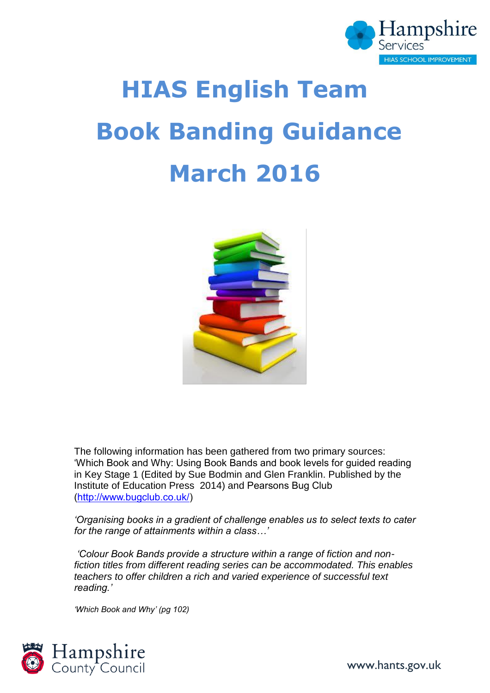

# **HIAS English Team Book Banding Guidance March 2016**



The following information has been gathered from two primary sources: 'Which Book and Why: Using Book Bands and book levels for guided reading in Key Stage 1 (Edited by Sue Bodmin and Glen Franklin. Published by the Institute of Education Press 2014) and Pearsons Bug Club [\(http://www.bugclub.co.uk/\)](http://www.bugclub.co.uk/)

*'Organising books in a gradient of challenge enables us to select texts to cater for the range of attainments within a class…'*

*'Colour Book Bands provide a structure within a range of fiction and nonfiction titles from different reading series can be accommodated. This enables teachers to offer children a rich and varied experience of successful text reading.'*

*'Which Book and Why' (pg 102)*



www.hants.gov.uk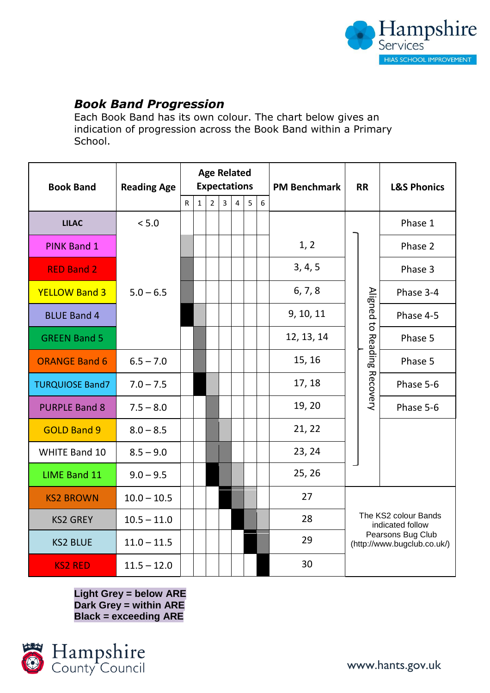

# *Book Band Progression*

Each Book Band has its own colour. The chart below gives an indication of progression across the Book Band within a Primary School.

| <b>Book Band</b>       | <b>Reading Age</b> | <b>Age Related</b><br><b>Expectations</b> |              |                |                |   |                |   | <b>PM Benchmark</b> | <b>RR</b>                                                                                    |                                   | <b>L&amp;S Phonics</b> |
|------------------------|--------------------|-------------------------------------------|--------------|----------------|----------------|---|----------------|---|---------------------|----------------------------------------------------------------------------------------------|-----------------------------------|------------------------|
|                        |                    | R                                         | $\mathbf{1}$ | $\overline{2}$ | $\overline{3}$ | 4 | 5 <sub>1</sub> | 6 |                     |                                                                                              |                                   |                        |
| <b>LILAC</b>           | < 5.0              |                                           |              |                |                |   |                |   |                     |                                                                                              |                                   | Phase 1                |
| <b>PINK Band 1</b>     |                    |                                           |              |                |                |   |                |   | 1, 2                |                                                                                              |                                   | Phase 2                |
| <b>RED Band 2</b>      | $5.0 - 6.5$        |                                           |              |                |                |   |                |   | 3, 4, 5             |                                                                                              | Aligned to<br>Reading<br>Recovery | Phase 3                |
| <b>YELLOW Band 3</b>   |                    |                                           |              |                |                |   |                |   | 6, 7, 8             |                                                                                              |                                   | Phase 3-4              |
| <b>BLUE Band 4</b>     |                    |                                           |              |                |                |   |                |   | 9, 10, 11           |                                                                                              |                                   | Phase 4-5              |
| <b>GREEN Band 5</b>    |                    |                                           |              |                |                |   |                |   | 12, 13, 14          |                                                                                              |                                   | Phase 5                |
| <b>ORANGE Band 6</b>   | $6.5 - 7.0$        |                                           |              |                |                |   |                |   | 15, 16              |                                                                                              |                                   | Phase 5                |
| <b>TURQUIOSE Band7</b> | $7.0 - 7.5$        |                                           |              |                |                |   |                |   | 17, 18              |                                                                                              |                                   | Phase 5-6              |
| <b>PURPLE Band 8</b>   | $7.5 - 8.0$        |                                           |              |                |                |   |                |   | 19, 20              |                                                                                              |                                   | Phase 5-6              |
| <b>GOLD Band 9</b>     | $8.0 - 8.5$        |                                           |              |                |                |   |                |   | 21, 22              |                                                                                              |                                   |                        |
| <b>WHITE Band 10</b>   | $8.5 - 9.0$        |                                           |              |                |                |   |                |   | 23, 24              |                                                                                              |                                   |                        |
| <b>LIME Band 11</b>    | $9.0 - 9.5$        |                                           |              |                |                |   |                |   | 25, 26              |                                                                                              |                                   |                        |
| <b>KS2 BROWN</b>       | $10.0 - 10.5$      |                                           |              |                |                |   |                |   | 27                  | The KS2 colour Bands<br>indicated follow<br>Pearsons Bug Club<br>(http://www.bugclub.co.uk/) |                                   |                        |
| <b>KS2 GREY</b>        | $10.5 - 11.0$      |                                           |              |                |                |   |                |   | 28                  |                                                                                              |                                   |                        |
| <b>KS2 BLUE</b>        | $11.0 - 11.5$      |                                           |              |                |                |   |                |   | 29                  |                                                                                              |                                   |                        |
| <b>KS2 RED</b>         | $11.5 - 12.0$      |                                           |              |                |                |   |                |   | 30                  |                                                                                              |                                   |                        |

**Light Grey = below ARE Dark Grey = within ARE Black = exceeding ARE**

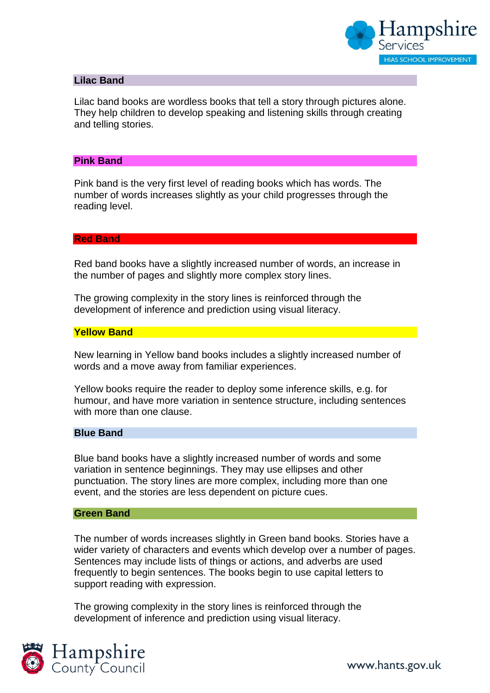

## **Lilac Band**

Lilac band books are wordless books that tell a story through pictures alone. They help children to develop speaking and listening skills through creating and telling stories.

#### **Pink Band**

Pink band is the very first level of reading books which has words. The number of words increases slightly as your child progresses through the reading level.

#### **Red Band**

Red band books have a slightly increased number of words, an increase in the number of pages and slightly more complex story lines.

The growing complexity in the story lines is reinforced through the development of inference and prediction using visual literacy.

#### **Yellow Band**

New learning in Yellow band books includes a slightly increased number of words and a move away from familiar experiences.

Yellow books require the reader to deploy some inference skills, e.g. for humour, and have more variation in sentence structure, including sentences with more than one clause.

#### **Blue Band**

Blue band books have a slightly increased number of words and some variation in sentence beginnings. They may use ellipses and other punctuation. The story lines are more complex, including more than one event, and the stories are less dependent on picture cues.

#### **Green Band**

The number of words increases slightly in Green band books. Stories have a wider variety of characters and events which develop over a number of pages. Sentences may include lists of things or actions, and adverbs are used frequently to begin sentences. The books begin to use capital letters to support reading with expression.

The growing complexity in the story lines is reinforced through the development of inference and prediction using visual literacy.

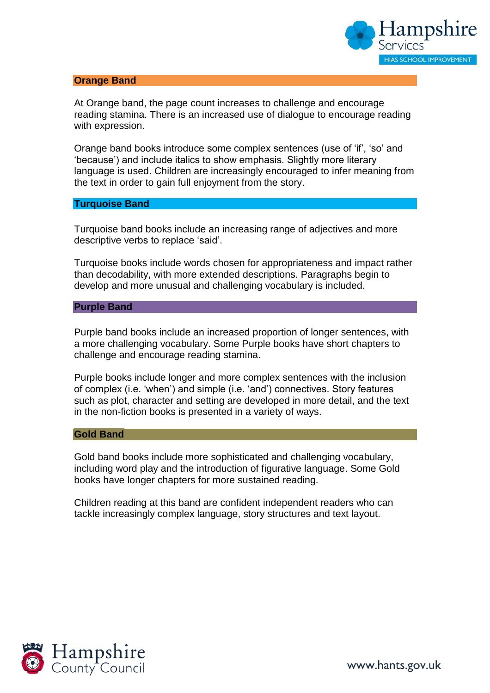

#### **Orange Band**

At Orange band, the page count increases to challenge and encourage reading stamina. There is an increased use of dialogue to encourage reading with expression.

Orange band books introduce some complex sentences (use of 'if', 'so' and 'because') and include italics to show emphasis. Slightly more literary language is used. Children are increasingly encouraged to infer meaning from the text in order to gain full enjoyment from the story.

#### **Turquoise Band**

Turquoise band books include an increasing range of adjectives and more descriptive verbs to replace 'said'.

Turquoise books include words chosen for appropriateness and impact rather than decodability, with more extended descriptions. Paragraphs begin to develop and more unusual and challenging vocabulary is included.

#### **Purple Band**

Purple band books include an increased proportion of longer sentences, with a more challenging vocabulary. Some Purple books have short chapters to challenge and encourage reading stamina.

Purple books include longer and more complex sentences with the inclusion of complex (i.e. 'when') and simple (i.e. 'and') connectives. Story features such as plot, character and setting are developed in more detail, and the text in the non-fiction books is presented in a variety of ways.

#### **Gold Band**

Gold band books include more sophisticated and challenging vocabulary, including word play and the introduction of figurative language. Some Gold books have longer chapters for more sustained reading.

Children reading at this band are confident independent readers who can tackle increasingly complex language, story structures and text layout.

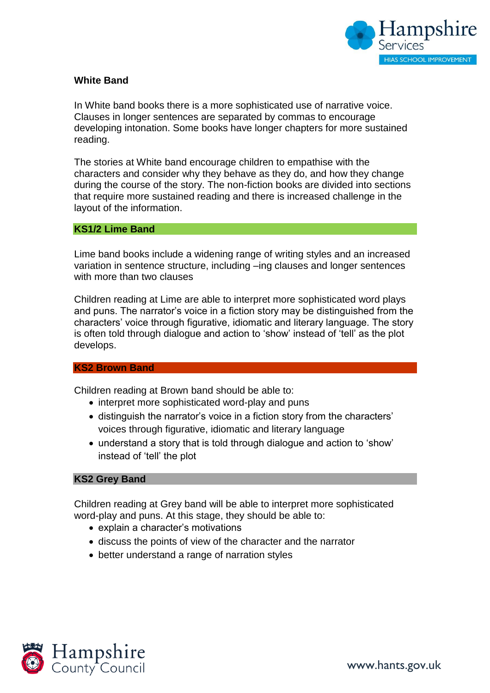

# **White Band**

In White band books there is a more sophisticated use of narrative voice. Clauses in longer sentences are separated by commas to encourage developing intonation. Some books have longer chapters for more sustained reading.

The stories at White band encourage children to empathise with the characters and consider why they behave as they do, and how they change during the course of the story. The non-fiction books are divided into sections that require more sustained reading and there is increased challenge in the layout of the information.

#### **KS1/2 Lime Band**

Lime band books include a widening range of writing styles and an increased variation in sentence structure, including –ing clauses and longer sentences with more than two clauses

Children reading at Lime are able to interpret more sophisticated word plays and puns. The narrator's voice in a fiction story may be distinguished from the characters' voice through figurative, idiomatic and literary language. The story is often told through dialogue and action to 'show' instead of 'tell' as the plot develops.

#### **KS2 Brown Band**

Children reading at Brown band should be able to:

- interpret more sophisticated word-play and puns
- distinguish the narrator's voice in a fiction story from the characters' voices through figurative, idiomatic and literary language
- understand a story that is told through dialogue and action to 'show' instead of 'tell' the plot

#### **KS2 Grey Band**

Children reading at Grey band will be able to interpret more sophisticated word-play and puns. At this stage, they should be able to:

- explain a character's motivations
- discuss the points of view of the character and the narrator
- better understand a range of narration styles